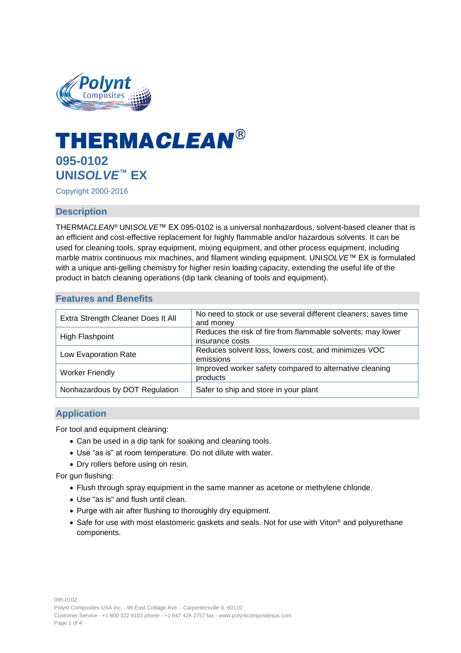

# **THERMACLEAN® 095-0102 UNI***SOLVE***™ EX**

Copyright 2000-2016

# **Description**

THERMA*CLEAN*® UNI*SOLVE*™ EX 095-0102 is a universal nonhazardous, solvent-based cleaner that is an efficient and cost-effective replacement for highly flammable and/or hazardous solvents. It can be used for cleaning tools, spray equipment, mixing equipment, and other process equipment, including marble matrix continuous mix machines, and filament winding equipment. UNI*SOLVE*™ EX is formulated with a unique anti-gelling chemistry for higher resin loading capacity, extending the useful life of the product in batch cleaning operations (dip tank cleaning of tools and equipment).

# **Features and Benefits**

| Extra Strength Cleaner Does It All | No need to stock or use several different cleaners; saves time<br>and money    |
|------------------------------------|--------------------------------------------------------------------------------|
| High Flashpoint                    | Reduces the risk of fire from flammable solvents; may lower<br>insurance costs |
| Low Evaporation Rate               | Reduces solvent loss, lowers cost, and minimizes VOC<br>emissions              |
| <b>Worker Friendly</b>             | Improved worker safety compared to alternative cleaning<br>products            |
| Nonhazardous by DOT Regulation     | Safer to ship and store in your plant                                          |

# **Application**

For tool and equipment cleaning:

- Can be used in a dip tank for soaking and cleaning tools.
- Use "as is" at room temperature. Do not dilute with water.
- Dry rollers before using on resin.

For gun flushing:

- Flush through spray equipment in the same manner as acetone or methylene chloride.
- Use "as is" and flush until clean.
- Purge with air after flushing to thoroughly dry equipment.
- Safe for use with most elastomeric gaskets and seals. Not for use with Viton<sup>®</sup> and polyurethane components.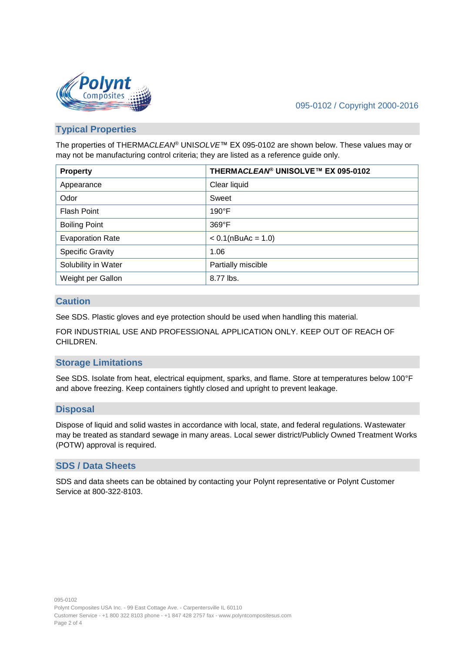

# 095-0102 / Copyright 2000-2016

# **Typical Properties**

The properties of THERMA*CLEAN*® UNI*SOLVE*™ EX 095-0102 are shown below. These values may or may not be manufacturing control criteria; they are listed as a reference guide only.

| <b>Property</b>         | THERMACLEAN® UNISOLVE™ EX 095-0102 |
|-------------------------|------------------------------------|
| Appearance              | Clear liquid                       |
| Odor                    | Sweet                              |
| <b>Flash Point</b>      | $190^{\circ}$ F                    |
| <b>Boiling Point</b>    | 369°F                              |
| <b>Evaporation Rate</b> | $< 0.1$ (nBuAc = 1.0)              |
| <b>Specific Gravity</b> | 1.06                               |
| Solubility in Water     | Partially miscible                 |
| Weight per Gallon       | 8.77 lbs.                          |

# **Caution**

See SDS. Plastic gloves and eye protection should be used when handling this material.

FOR INDUSTRIAL USE AND PROFESSIONAL APPLICATION ONLY. KEEP OUT OF REACH OF CHILDREN.

# **Storage Limitations**

See SDS. Isolate from heat, electrical equipment, sparks, and flame. Store at temperatures below 100°F and above freezing. Keep containers tightly closed and upright to prevent leakage.

## **Disposal**

Dispose of liquid and solid wastes in accordance with local, state, and federal regulations. Wastewater may be treated as standard sewage in many areas. Local sewer district/Publicly Owned Treatment Works (POTW) approval is required.

# **SDS / Data Sheets**

SDS and data sheets can be obtained by contacting your Polynt representative or Polynt Customer Service at 800-322-8103.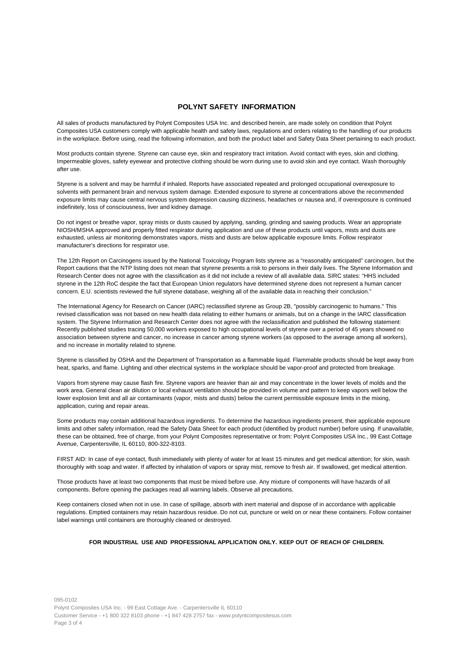## **POLYNT SAFETY INFORMATION**

All sales of products manufactured by Polynt Composites USA Inc. and described herein, are made solely on condition that Polynt Composites USA customers comply with applicable health and safety laws, regulations and orders relating to the handling of our products in the workplace. Before using, read the following information, and both the product label and Safety Data Sheet pertaining to each product.

Most products contain styrene. Styrene can cause eye, skin and respiratory tract irritation. Avoid contact with eyes, skin and clothing. Impermeable gloves, safety eyewear and protective clothing should be worn during use to avoid skin and eye contact. Wash thoroughly after use.

Styrene is a solvent and may be harmful if inhaled. Reports have associated repeated and prolonged occupational overexposure to solvents with permanent brain and nervous system damage. Extended exposure to styrene at concentrations above the recommended exposure limits may cause central nervous system depression causing dizziness, headaches or nausea and, if overexposure is continued indefinitely, loss of consciousness, liver and kidney damage.

Do not ingest or breathe vapor, spray mists or dusts caused by applying, sanding, grinding and sawing products. Wear an appropriate NIOSH/MSHA approved and properly fitted respirator during application and use of these products until vapors, mists and dusts are exhausted, unless air monitoring demonstrates vapors, mists and dusts are below applicable exposure limits. Follow respirator manufacturer's directions for respirator use.

The 12th Report on Carcinogens issued by the National Toxicology Program lists styrene as a "reasonably anticipated" carcinogen, but the Report cautions that the NTP listing does not mean that styrene presents a risk to persons in their daily lives. The Styrene Information and Research Center does not agree with the classification as it did not include a review of all available data. SIRC states: "HHS included styrene in the 12th RoC despite the fact that European Union regulators have determined styrene does not represent a human cancer concern. E.U. scientists reviewed the full styrene database, weighing all of the available data in reaching their conclusion."

The International Agency for Research on Cancer (IARC) reclassified styrene as Group 2B, "possibly carcinogenic to humans." This revised classification was not based on new health data relating to either humans or animals, but on a change in the IARC classification system. The Styrene Information and Research Center does not agree with the reclassification and published the following statement: Recently published studies tracing 50,000 workers exposed to high occupational levels of styrene over a period of 45 years showed no association between styrene and cancer, no increase in cancer among styrene workers (as opposed to the average among all workers), and no increase in mortality related to styrene.

Styrene is classified by OSHA and the Department of Transportation as a flammable liquid. Flammable products should be kept away from heat, sparks, and flame. Lighting and other electrical systems in the workplace should be vapor-proof and protected from breakage.

Vapors from styrene may cause flash fire. Styrene vapors are heavier than air and may concentrate in the lower levels of molds and the work area. General clean air dilution or local exhaust ventilation should be provided in volume and pattern to keep vapors well below the lower explosion limit and all air contaminants (vapor, mists and dusts) below the current permissible exposure limits in the mixing, application, curing and repair areas.

Some products may contain additional hazardous ingredients. To determine the hazardous ingredients present, their applicable exposure limits and other safety information, read the Safety Data Sheet for each product (identified by product number) before using. If unavailable, these can be obtained, free of charge, from your Polynt Composites representative or from: Polynt Composites USA Inc., 99 East Cottage Avenue, Carpentersville, IL 60110, 800-322-8103.

FIRST AID: In case of eye contact, flush immediately with plenty of water for at least 15 minutes and get medical attention; for skin, wash thoroughly with soap and water. If affected by inhalation of vapors or spray mist, remove to fresh air. If swallowed, get medical attention.

Those products have at least two components that must be mixed before use. Any mixture of components will have hazards of all components. Before opening the packages read all warning labels. Observe all precautions.

Keep containers closed when not in use. In case of spillage, absorb with inert material and dispose of in accordance with applicable regulations. Emptied containers may retain hazardous residue. Do not cut, puncture or weld on or near these containers. Follow container label warnings until containers are thoroughly cleaned or destroyed.

#### **FOR INDUSTRIAL USE AND PROFESSIONAL APPLICATION ONLY. KEEP OUT OF REACH OF CHILDREN.**